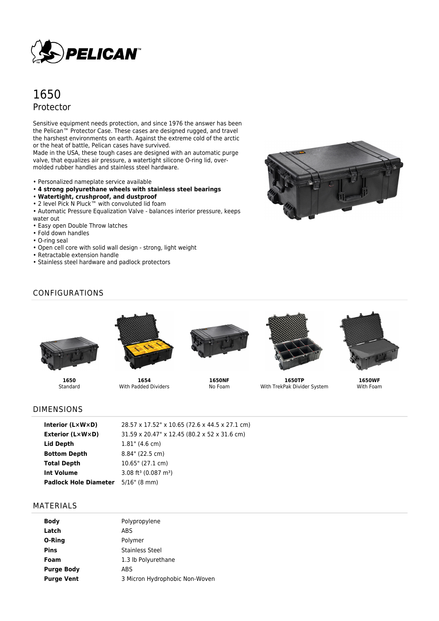

# 1650 Protector

Sensitive equipment needs protection, and since 1976 the answer has been the Pelican™ Protector Case. These cases are designed rugged, and travel the harshest environments on earth. Against the extreme cold of the arctic or the heat of battle, Pelican cases have survived.

Made in the USA, these tough cases are designed with an automatic purge valve, that equalizes air pressure, a watertight silicone O-ring lid, overmolded rubber handles and stainless steel hardware.

- Personalized nameplate service available
- **4 strong polyurethane wheels with stainless steel bearings**
- **Watertight, crushproof, and dustproof**
- 2 level Pick N Pluck™ with convoluted lid foam
- Automatic Pressure Equalization Valve balances interior pressure, keeps water out
- Easy open Double Throw latches
- Fold down handles
- O-ring seal
- Open cell core with solid wall design strong, light weight
- Retractable extension handle
- Stainless steel hardware and padlock protectors



## CONFIGURATIONS



**1650** Standard



**1654** With Padded Dividers



**1650NF** No Foam



**1650TP** With TrekPak Divider System



**1650WF** With Foam

## DIMENSIONS

| Interior $(L \times W \times D)$          | 28.57 x 17.52" x 10.65 (72.6 x 44.5 x 27.1 cm) |
|-------------------------------------------|------------------------------------------------|
| Exterior (L×W×D)                          | 31.59 x 20.47" x 12.45 (80.2 x 52 x 31.6 cm)   |
| Lid Depth                                 | $1.81$ " (4.6 cm)                              |
| <b>Bottom Depth</b>                       | 8.84" (22.5 cm)                                |
| <b>Total Depth</b>                        | 10.65" (27.1 cm)                               |
| <b>Int Volume</b>                         | 3.08 ft <sup>3</sup> (0.087 m <sup>3</sup> )   |
| <b>Padlock Hole Diameter</b> 5/16" (8 mm) |                                                |
|                                           |                                                |

#### MATERIALS

| <b>Body</b>       | Polypropylene                  |
|-------------------|--------------------------------|
| Latch             | <b>ABS</b>                     |
| O-Ring            | Polymer                        |
| <b>Pins</b>       | Stainless Steel                |
| Foam              | 1.3 lb Polyurethane            |
| <b>Purge Body</b> | ABS                            |
| <b>Purge Vent</b> | 3 Micron Hydrophobic Non-Woven |
|                   |                                |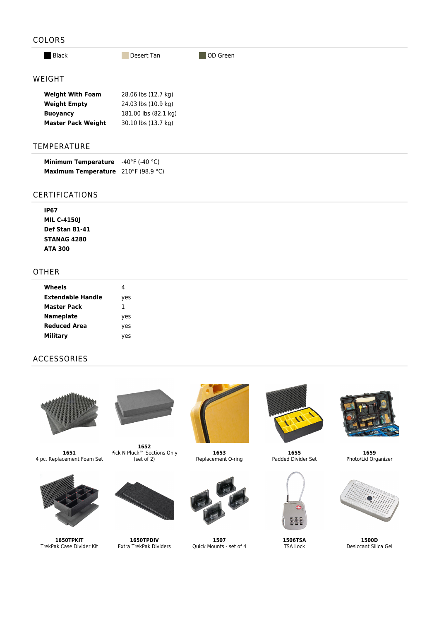## COLORS

**Black** Desert Tan **Desert Tan** OD Green

#### WEIGHT

| <b>Weight With Foam</b>   | 28.06 lbs (12.7 kg)  |
|---------------------------|----------------------|
| <b>Weight Empty</b>       | 24.03 lbs (10.9 kg)  |
| <b>Buoyancy</b>           | 181.00 lbs (82.1 kg) |
| <b>Master Pack Weight</b> | 30.10 lbs (13.7 kg)  |

### TEMPERATURE

| <b>Minimum Temperature</b> | $-40^{\circ}$ F (-40 $^{\circ}$ C) |
|----------------------------|------------------------------------|
| <b>Maximum Temperature</b> | 210°F (98.9 °C)                    |

#### CERTIFICATIONS

**IP67 MIL C-4150J Def Stan 81-41 STANAG 4280 ATA 300**

## OTHER

| Wheels              |     |
|---------------------|-----|
| Extendable Handle   | yes |
| Master Pack         | 1   |
| <b>Nameplate</b>    | yes |
| <b>Reduced Area</b> | yes |
| <b>Military</b>     | ves |

## ACCESSORIES



**1651** 4 pc. Replacement Foam Set



**1650TPKIT** TrekPak Case Divider Kit



**1652** Pick N Pluck™ Sections Only (set of 2)



**1650TPDIV** Extra TrekPak Dividers



**1653** Replacement O-ring



**1507** Quick Mounts - set of 4



**1655** Padded Divider Set



**1506TSA** TSA Lock



**1659** Photo/Lid Organizer



**1500D** Desiccant Silica Gel